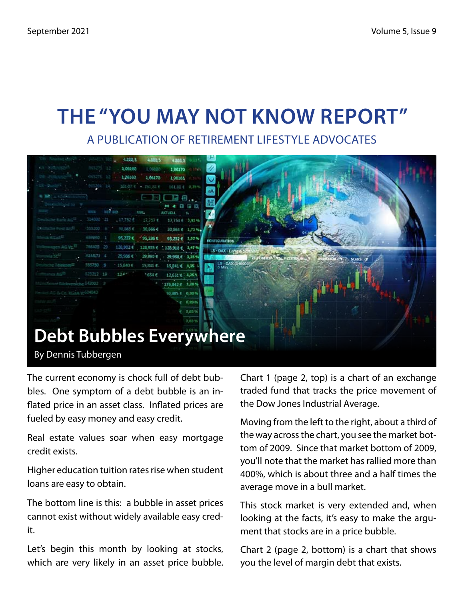## **The "You May Not Know Report"**

A Publication of Retirement Lifestyle Advocates



The current economy is chock full of debt bubbles. One symptom of a debt bubble is an inflated price in an asset class. Inflated prices are fueled by easy money and easy credit.

Real estate values soar when easy mortgage credit exists.

Higher education tuition rates rise when student loans are easy to obtain.

The bottom line is this: a bubble in asset prices cannot exist without widely available easy credit.

Let's begin this month by looking at stocks, which are very likely in an asset price bubble. Chart 1 (page 2, top) is a chart of an exchange traded fund that tracks the price movement of the Dow Jones Industrial Average.

Moving from the left to the right, about a third of the way across the chart, you see the market bottom of 2009. Since that market bottom of 2009, you'll note that the market has rallied more than 400%, which is about three and a half times the average move in a bull market.

This stock market is very extended and, when looking at the facts, it's easy to make the argument that stocks are in a price bubble.

Chart 2 (page 2, bottom) is a chart that shows you the level of margin debt that exists.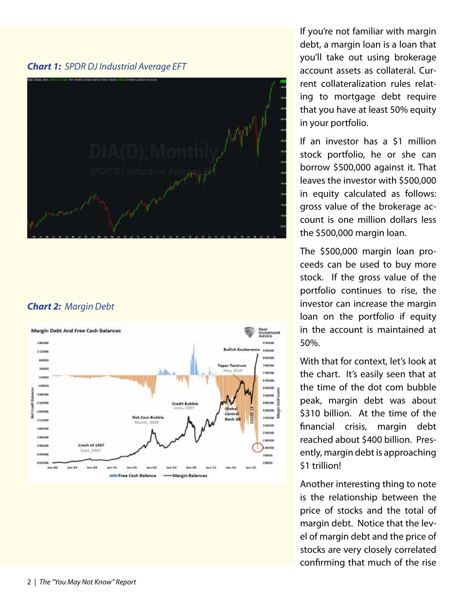*Chart 1: SPDR DJ Industrial Average EFT*



#### *Chart 2: Margin Debt*



If you're not familiar with margin debt, a margin loan is a loan that you'll take out using brokerage account assets as collateral. Current collateralization rules relating to mortgage debt require that you have at least 50% equity in your portfolio.

If an investor has a \$1 million stock portfolio, he or she can borrow \$500,000 against it. That leaves the investor with \$500,000 in equity calculated as follows: gross value of the brokerage account is one million dollars less the \$500,000 margin loan.

The \$500,000 margin loan proceeds can be used to buy more stock. If the gross value of the portfolio continues to rise, the investor can increase the margin loan on the portfolio if equity in the account is maintained at 50%.

With that for context, let's look at the chart. It's easily seen that at the time of the dot com bubble peak, margin debt was about \$310 billion. At the time of the financial crisis, margin debt reached about \$400 billion. Presently, margin debt is approaching \$1 trillion!

Another interesting thing to note is the relationship between the price of stocks and the total of margin debt. Notice that the level of margin debt and the price of stocks are very closely correlated confirming that much of the rise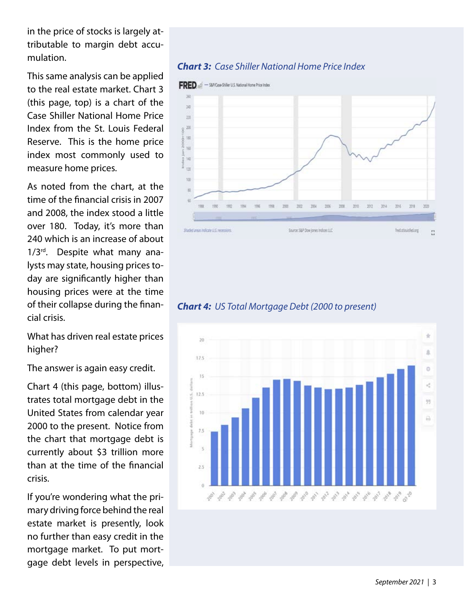in the price of stocks is largely attributable to margin debt accumulation.

This same analysis can be applied to the real estate market. Chart 3 (this page, top) is a chart of the Case Shiller National Home Price Index from the St. Louis Federal Reserve. This is the home price index most commonly used to measure home prices.

As noted from the chart, at the time of the financial crisis in 2007 and 2008, the index stood a little over 180. Today, it's more than 240 which is an increase of about  $1/3^{rd}$ . Despite what many analysts may state, housing prices today are significantly higher than housing prices were at the time of their collapse during the financial crisis.

What has driven real estate prices higher?

The answer is again easy credit.

Chart 4 (this page, bottom) illustrates total mortgage debt in the United States from calendar year 2000 to the present. Notice from the chart that mortgage debt is currently about \$3 trillion more than at the time of the financial crisis.

If you're wondering what the primary driving force behind the real estate market is presently, look no further than easy credit in the mortgage market. To put mortgage debt levels in perspective,

#### *Chart 3: Case Shiller National Home Price Index*



#### *Chart 4: US Total Mortgage Debt (2000 to present)*

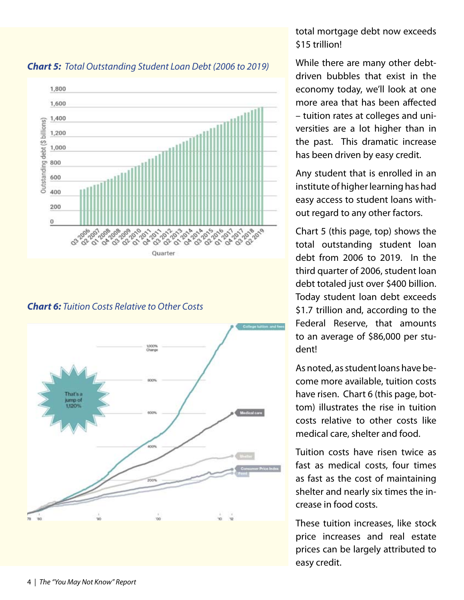

*Chart 5: Total Outstanding Student Loan Debt (2006 to 2019)*

*Chart 6: Tuition Costs Relative to Other Costs* 



#### total mortgage debt now exceeds \$15 trillion!

While there are many other debtdriven bubbles that exist in the economy today, we'll look at one more area that has been affected – tuition rates at colleges and universities are a lot higher than in the past. This dramatic increase has been driven by easy credit.

Any student that is enrolled in an institute of higher learning has had easy access to student loans without regard to any other factors.

Chart 5 (this page, top) shows the total outstanding student loan debt from 2006 to 2019. In the third quarter of 2006, student loan debt totaled just over \$400 billion. Today student loan debt exceeds \$1.7 trillion and, according to the Federal Reserve, that amounts to an average of \$86,000 per student!

As noted, as student loans have become more available, tuition costs have risen. Chart 6 (this page, bottom) illustrates the rise in tuition costs relative to other costs like medical care, shelter and food.

Tuition costs have risen twice as fast as medical costs, four times as fast as the cost of maintaining shelter and nearly six times the increase in food costs.

These tuition increases, like stock price increases and real estate prices can be largely attributed to easy credit.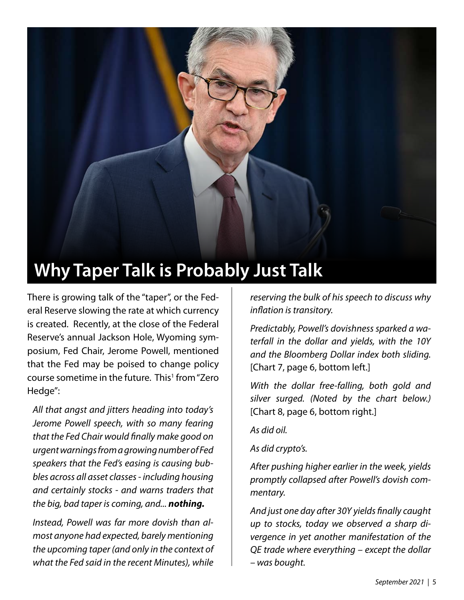

There is growing talk of the "taper", or the Federal Reserve slowing the rate at which currency is created. Recently, at the close of the Federal Reserve's annual Jackson Hole, Wyoming symposium, Fed Chair, Jerome Powell, mentioned that the Fed may be poised to change policy course sometime in the future. This<sup>1</sup> from "Zero Hedge":

*All that angst and jitters heading into today's Jerome Powell speech, with so many fearing that the Fed Chair would finally make good on urgent warnings from a growing number of Fed speakers that the Fed's easing is causing bubbles across all asset classes - including housing and certainly stocks - and warns traders that the big, bad taper is coming, and... nothing.*

*Instead, Powell was far more dovish than almost anyone had expected, barely mentioning the upcoming taper (and only in the context of what the Fed said in the recent Minutes), while* 

*reserving the bulk of his speech to discuss why inflation is transitory.*

*Predictably, Powell's dovishness sparked a waterfall in the dollar and yields, with the 10Y and the Bloomberg Dollar index both sliding.*  [Chart 7, page 6, bottom left.]

*With the dollar free-falling, both gold and silver surged. (Noted by the chart below.)*  [Chart 8, page 6, bottom right.]

*As did oil.*

*As did crypto's.*

*After pushing higher earlier in the week, yields promptly collapsed after Powell's dovish commentary.*

*And just one day after 30Y yields finally caught up to stocks, today we observed a sharp divergence in yet another manifestation of the QE trade where everything – except the dollar – was bought.*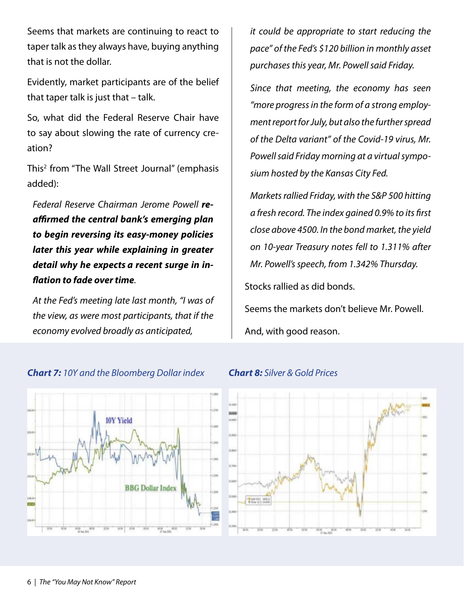Seems that markets are continuing to react to taper talk as they always have, buying anything that is not the dollar.

Evidently, market participants are of the belief that taper talk is just that – talk.

So, what did the Federal Reserve Chair have to say about slowing the rate of currency creation?

This<sup>2</sup> from "The Wall Street Journal" (emphasis added):

*Federal Reserve Chairman Jerome Powell reaffirmed the central bank's emerging plan to begin reversing its easy-money policies later this year while explaining in greater detail why he expects a recent surge in inflation to fade over time.*

*At the Fed's meeting late last month, "I was of the view, as were most participants, that if the economy evolved broadly as anticipated,* 

*it could be appropriate to start reducing the pace" of the Fed's \$120 billion in monthly asset purchases this year, Mr. Powell said Friday.*

*Since that meeting, the economy has seen "more progress in the form of a strong employment report for July, but also the further spread of the Delta variant" of the Covid-19 virus, Mr. Powell said Friday morning at a virtual symposium hosted by the Kansas City Fed.*

*Markets rallied Friday, with the S&P 500 hitting a fresh record. The index gained 0.9% to its first close above 4500. In the bond market, the yield on 10-year Treasury notes fell to 1.311% after Mr. Powell's speech, from 1.342% Thursday.*

Stocks rallied as did bonds.

Seems the markets don't believe Mr. Powell. And, with good reason.





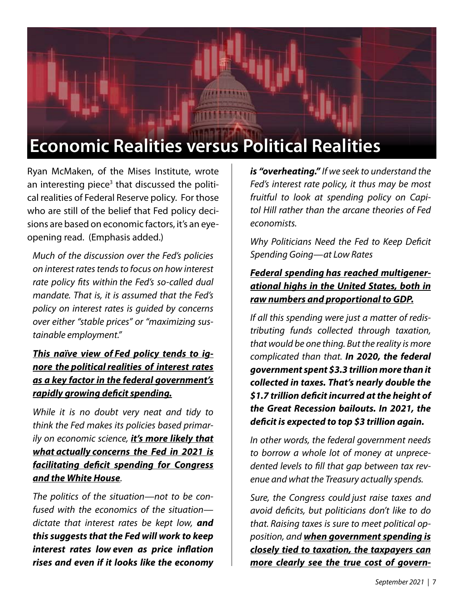# **Economic Realities versus Political Realities**

Ryan McMaken, of the Mises Institute, wrote an interesting piece<sup>3</sup> that discussed the political realities of Federal Reserve policy. For those who are still of the belief that Fed policy decisions are based on economic factors, it's an eyeopening read. (Emphasis added.)

*Much of the discussion over the Fed's policies on interest rates tends to focus on how interest rate policy fits within the Fed's so-called dual mandate. That is, it is assumed that the Fed's policy on interest rates is guided by concerns over either "stable prices" or "maximizing sustainable employment."*

#### *This naïve view of Fed policy tends to ignore the politicalrealities of interest rates as a key factor in the federal government's rapidly growing deficit spending.*

*While it is no doubt very neat and tidy to think the Fed makes its policies based primarily on economic science, it's more likely that what actually concerns the Fed in 2021 is facilitating deficit spending for Congress and the White House.*

*The politics of the situation—not to be confused with the economics of the situation dictate that interest rates be kept low, and this suggests that the Fed will work to keep interest rates low even as price inflation rises and even if it looks like the economy* 

*is "overheating." If we seek to understand the Fed's interest rate policy, it thus may be most fruitful to look at spending policy on Capitol Hill rather than the arcane theories of Fed economists.*

*Why Politicians Need the Fed to Keep Deficit Spending Going—at Low Rates*

#### *Federal spending has reached multigenerational highs in the United States, both in raw numbers and proportional to GDP.*

*If all this spending were just a matter of redistributing funds collected through taxation, that would be one thing. But the reality is more complicated than that. In 2020, the federal government spent \$3.3 trillion more than it collected in taxes. That's nearly double the \$1.7 trillion deficit incurred at the height of the Great Recession bailouts. In 2021, the deficit is expected to top \$3 trillion again.*

*In other words, the federal government needs to borrow a whole lot of money at unprecedented levels to fill that gap between tax revenue and what the Treasury actually spends.*

*Sure, the Congress could just raise taxes and avoid deficits, but politicians don't like to do that. Raising taxes is sure to meet political opposition, and when government spending is closely tied to taxation, the taxpayers can more clearly see the true cost of govern-*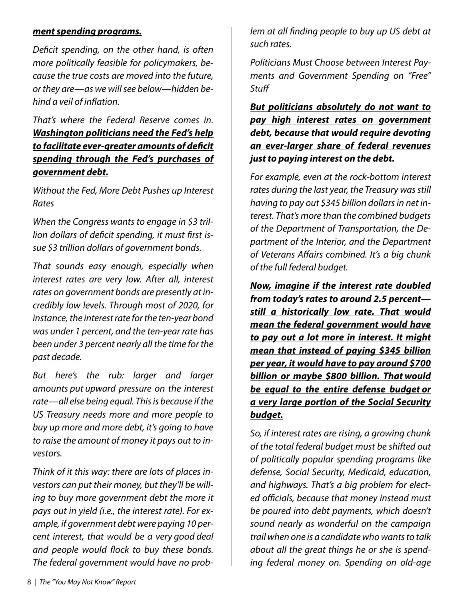#### *ment spending programs.*

*Deficit spending, on the other hand, is often more politically feasible for policymakers, because the true costs are moved into the future, or they are—as we will see below—hidden behind a veil of inflation.*

*That's where the Federal Reserve comes in. Washington politicians need the Fed's help to facilitate ever-greater amounts of deficit spending through the Fed's purchases of government debt.*

*Without the Fed, More Debt Pushes up Interest Rates*

*When the Congress wants to engage in \$3 trillion dollars of deficit spending, it must first issue \$3 trillion dollars of government bonds.*

*That sounds easy enough, especially when interest rates are very low. After all, interest rates on government bonds are presently at incredibly low levels. Through most of 2020, for instance, the interest rate for the ten-year bond was under 1 percent, and the ten-year rate has been under 3 percent nearly all the time for the past decade.*

*But here's the rub: larger and larger amounts put upward pressure on the interest rate—all else being equal. This is because if the US Treasury needs more and more people to buy up more and more debt, it's going to have to raise the amount of money it pays out to investors.*

*Think of it this way: there are lots of places investors can put their money, but they'll be willing to buy more government debt the more it pays out in yield (i.e., the interest rate). For example, if government debt were paying 10 percent interest, that would be a very good deal and people would flock to buy these bonds. The federal government would have no prob-* *lem at all finding people to buy up US debt at such rates.*

*Politicians Must Choose between Interest Payments and Government Spending on "Free" Stuff*

*But politicians absolutely do not want to pay high interest rates on government debt, because that would require devoting an ever-larger share of federal revenues just to paying interest on the debt.*

*For example, even at the rock-bottom interest rates during the last year, the Treasury was still having to pay out \$345 billion dollars in net interest. That's more than the combined budgets of the Department of Transportation, the Department of the Interior, and the Department of Veterans Affairs combined. It's a big chunk of the full federal budget.*

*Now, imagine if the interest rate doubled from today's rates to around 2.5 percent still a historically low rate. That would mean the federal government would have to pay out a lot more in interest. It might mean that instead of paying \$345 billion per year, it would have to pay around \$700 billion or maybe \$800 billion. That would be equal to the entire defense budget or a very large portion of the Social Security budget.*

*So, if interest rates are rising, a growing chunk of the total federal budget must be shifted out of politically popular spending programs like defense, Social Security, Medicaid, education, and highways. That's a big problem for elected officials, because that money instead must be poured into debt payments, which doesn't sound nearly as wonderful on the campaign trail when one is a candidate who wants to talk about all the great things he or she is spending federal money on. Spending on old-age*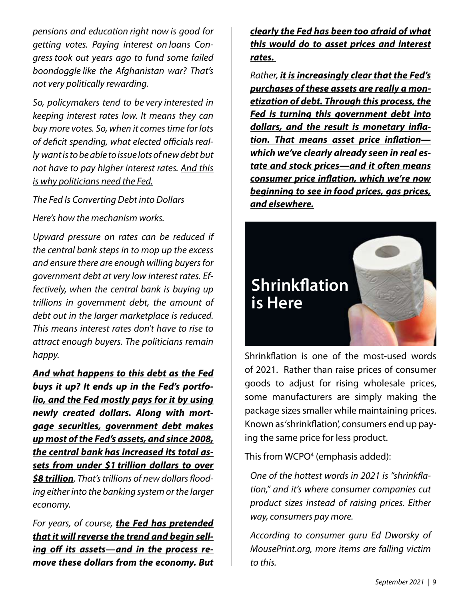*pensions and education right now is good for getting votes. Paying interest on loans Congresstook out years ago to fund some failed boondoggle like the Afghanistan war? That's not very politically rewarding.*

*So, policymakers tend to be very interested in keeping interest rates low. It means they can buy more votes. So, when it comes time for lots*  of deficit spending, what elected officials real*ly want is to be able to issue lots of new debt but not have to pay higher interest rates. And this is why politicians need the Fed.*

*The Fed Is Converting Debt into Dollars*

*Here's how the mechanism works.*

*Upward pressure on rates can be reduced if the central bank steps in to mop up the excess and ensure there are enough willing buyers for government debt at very low interest rates. Effectively, when the central bank is buying up trillions in government debt, the amount of debt out in the larger marketplace is reduced. This means interest rates don't have to rise to attract enough buyers. The politicians remain happy.*

*And what happens to this debt as the Fed buys it up? It ends up in the Fed's portfolio, and the Fed mostly pays for it by using newly created dollars. Along with mortgage securities, government debt makes up most of the Fed's assets, and since 2008, the central bank has increased its total assets from under \$1 trillion dollars to over \$8 trillion. That's trillions of new dollars flooding either into the banking system or the larger economy.*

*For years, of course, the Fed has pretended that it will reverse the trend and begin selling off its assets—and in the process remove these dollars from the economy. But* *clearly the Fed has been too afraid of what this would do to asset prices and interest rates.*

*Rather, it is increasingly clear that the Fed's purchases of these assets are really a monetization of debt. Through this process, the Fed is turning this government debt into dollars, and the result is monetary inflation. That means asset price inflation which we've clearly already seen in real estate and stock prices—and it often means consumer price inflation, which we're now beginning to see in food prices, gas prices, and elsewhere.*



Shrinkflation is one of the most-used words of 2021. Rather than raise prices of consumer goods to adjust for rising wholesale prices, some manufacturers are simply making the package sizes smaller while maintaining prices. Known as 'shrinkflation', consumers end up paying the same price for less product.

This from WCPO<sup>4</sup> (emphasis added):

*One of the hottest words in 2021 is "shrinkflation," and it's where consumer companies cut product sizes instead of raising prices. Either way, consumers pay more.*

*According to consumer guru Ed Dworsky of MousePrint.org, more items are falling victim to this.*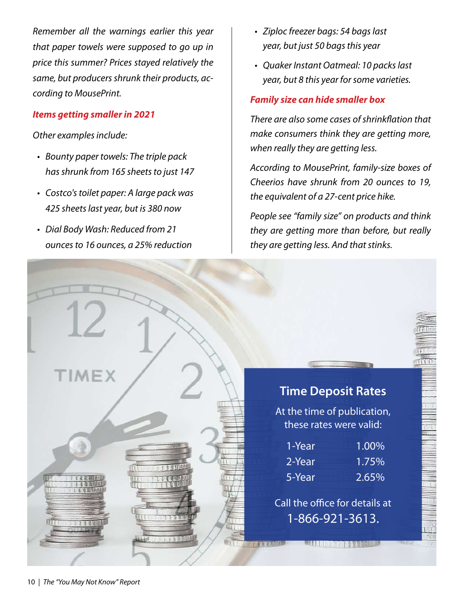*Remember all the warnings earlier this year that paper towels were supposed to go up in price this summer? Prices stayed relatively the same, but producers shrunk their products, according to MousePrint.*

#### *Items getting smaller in 2021*

#### *Other examples include:*

- *Bounty paper towels: The triple pack • has shrunk from 165 sheets to just 147*
- *Costco's toilet paper: A large pack was • 425 sheets last year, but is 380 now*
- *Dial Body Wash: Reduced from 21 • ounces to 16 ounces, a 25% reduction*
- *Ziploc freezer bags: 54 bags last • year, but just 50 bags this year*
- *Quaker Instant Oatmeal: 10 packs last •year, but 8 this year for some varieties.*

#### *Family size can hide smaller box*

*There are also some cases of shrinkflation that make consumers think they are getting more, when really they are getting less.*

*According to MousePrint, family-size boxes of Cheerios have shrunk from 20 ounces to 19, the equivalent of a 27-cent price hike.*

*People see "family size" on products and think they are getting more than before, but really they are getting less. And that stinks.*

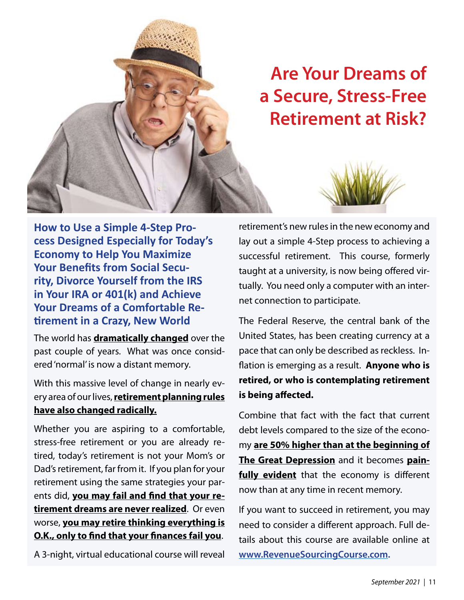

**How to Use a Simple 4-Step Process Designed Especially for Today's Economy to Help You Maximize Your Benefits from Social Security, Divorce Yourself from the IRS in Your IRA or 401(k) and Achieve Your Dreams of a Comfortable Retirement in a Crazy, New World** 

The world has **dramatically changed** over the past couple of years. What was once considered 'normal' is now a distant memory.

With this massive level of change in nearly every area of our lives, **retirement planning rules have also changed radically.**

Whether you are aspiring to a comfortable, stress-free retirement or you are already retired, today's retirement is not your Mom's or Dad's retirement, far from it. If you plan for your retirement using the same strategies your parents did, **you may fail and find that your retirement dreams are never realized**. Or even worse, **you may retire thinking everything is O.K., only to find that your finances fail you**.

A 3-night, virtual educational course will reveal

retirement's new rules in the new economy and lay out a simple 4-Step process to achieving a successful retirement. This course, formerly taught at a university, is now being offered virtually. You need only a computer with an internet connection to participate.

The Federal Reserve, the central bank of the United States, has been creating currency at a pace that can only be described as reckless. Inflation is emerging as a result. **Anyone who is retired, or who is contemplating retirement is being affected.**

Combine that fact with the fact that current debt levels compared to the size of the economy **are 50% higher than at the beginning of The Great Depression** and it becomes **painfully evident** that the economy is different now than at any time in recent memory.

If you want to succeed in retirement, you may need to consider a different approach. Full details about this course are available online at **www.RevenueSourcingCourse.com.**